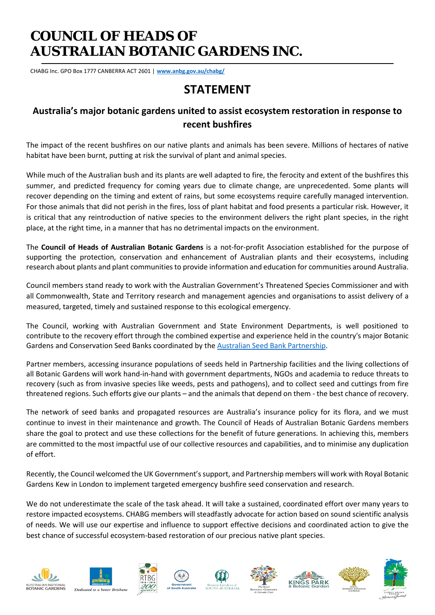# **COUNCIL OF HEADS OF AUSTRALIAN BOTANIC GARDENS INC.**

CHABG Inc. GPO Box 1777 CANBERRA ACT 2601 | **[www.anbg.gov.au/chabg/](http://www.anbg.gov.au/chabg/)**

## **STATEMENT**

### **Australia's major botanic gardens united to assist ecosystem restoration in response to recent bushfires**

The impact of the recent bushfires on our native plants and animals has been severe. Millions of hectares of native habitat have been burnt, putting at risk the survival of plant and animal species.

While much of the Australian bush and its plants are well adapted to fire, the ferocity and extent of the bushfires this summer, and predicted frequency for coming years due to climate change, are unprecedented. Some plants will recover depending on the timing and extent of rains, but some ecosystems require carefully managed intervention. For those animals that did not perish in the fires, loss of plant habitat and food presents a particular risk. However, it is critical that any reintroduction of native species to the environment delivers the right plant species, in the right place, at the right time, in a manner that has no detrimental impacts on the environment.

The **Council of Heads of Australian Botanic Gardens** is a not-for-profit Association established for the purpose of supporting the protection, conservation and enhancement of Australian plants and their ecosystems, including research about plants and plant communities to provide information and education for communities around Australia.

Council members stand ready to work with the Australian Government's Threatened Species Commissioner and with all Commonwealth, State and Territory research and management agencies and organisations to assist delivery of a measured, targeted, timely and sustained response to this ecological emergency.

The Council, working with Australian Government and State Environment Departments, is well positioned to contribute to the recovery effort through the combined expertise and experience held in the country's major Botanic Gardens and Conservation Seed Banks coordinated by the [Australian Seed Bank Partnership.](https://www.seedpartnership.org.au/)

Partner members, accessing insurance populations of seeds held in Partnership facilities and the living collections of all Botanic Gardens will work hand-in-hand with government departments, NGOs and academia to reduce threats to recovery (such as from invasive species like weeds, pests and pathogens), and to collect seed and cuttings from fire threatened regions. Such efforts give our plants – and the animals that depend on them - the best chance of recovery.

The network of seed banks and propagated resources are Australia's insurance policy for its flora, and we must continue to invest in their maintenance and growth. The Council of Heads of Australian Botanic Gardens members share the goal to protect and use these collections for the benefit of future generations. In achieving this, members are committed to the most impactful use of our collective resources and capabilities, and to minimise any duplication of effort.

Recently, the Council welcomed the UK Government's support, and Partnership members will work with Royal Botanic Gardens Kew in London to implement targeted emergency bushfire seed conservation and research.

We do not underestimate the scale of the task ahead. It will take a sustained, coordinated effort over many years to restore impacted ecosystems. CHABG members will steadfastly advocate for action based on sound scientific analysis of needs. We will use our expertise and influence to support effective decisions and coordinated action to give the best chance of successful ecosystem-based restoration of our precious native plant species.